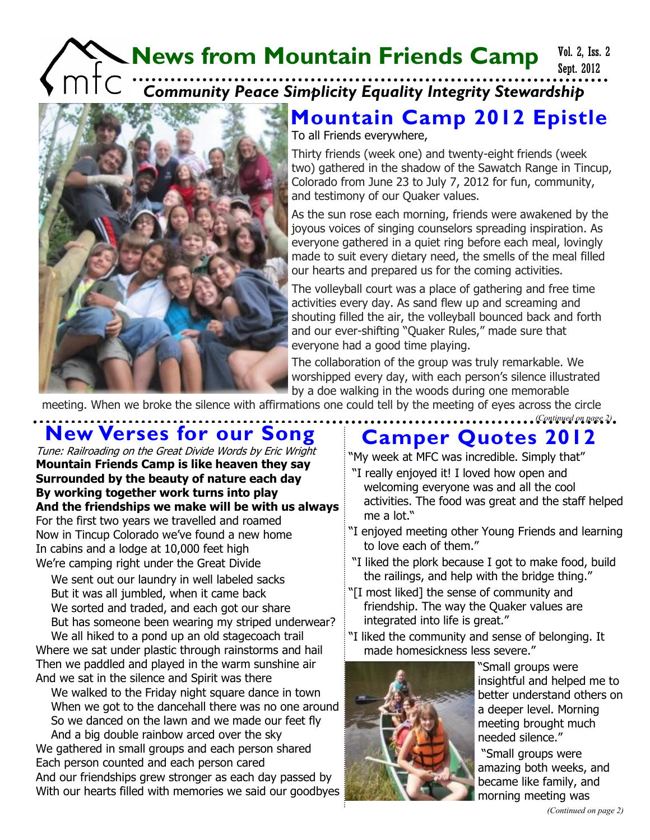### **News from Mountain Friends Camp** C COMMUNITY Peace Simplicity Equality Integrity Stewardship Sept. 2012 Vol. 2, Iss. 2



#### To all Friends everywhere, **Mountain Camp 2012 Epistle**

Thirty friends (week one) and twenty-eight friends (week two) gathered in the shadow of the Sawatch Range in Tincup, Colorado from June 23 to July 7, 2012 for fun, community, and testimony of our Quaker values.

As the sun rose each morning, friends were awakened by the joyous voices of singing counselors spreading inspiration. As everyone gathered in a quiet ring before each meal, lovingly made to suit every dietary need, the smells of the meal filled our hearts and prepared us for the coming activities.

The volleyball court was a place of gathering and free time activities every day. As sand flew up and screaming and shouting filled the air, the volleyball bounced back and forth and our ever-shifting "Quaker Rules," made sure that everyone had a good time playing.

The collaboration of the group was truly remarkable. We worshipped every day, with each person's silence illustrated by a doe walking in the woods during one memorable

meeting. When we broke the silence with affirmations one could tell by the meeting of eyes across the circle

## **New Verses for our Song**

Tune: Railroading on the Great Divide Words by Eric Wright **Mountain Friends Camp is like heaven they say Surrounded by the beauty of nature each day By working together work turns into play And the friendships we make will be with us always** For the first two years we travelled and roamed Now in Tincup Colorado we've found a new home In cabins and a lodge at 10,000 feet high We're camping right under the Great Divide

We sent out our laundry in well labeled sacks But it was all jumbled, when it came back We sorted and traded, and each got our share But has someone been wearing my striped underwear? We all hiked to a pond up an old stagecoach trail

Where we sat under plastic through rainstorms and hail Then we paddled and played in the warm sunshine air And we sat in the silence and Spirit was there

We walked to the Friday night square dance in town When we got to the dancehall there was no one around So we danced on the lawn and we made our feet fly And a big double rainbow arced over the sky We gathered in small groups and each person shared Each person counted and each person cared And our friendships grew stronger as each day passed by With our hearts filled with memories we said our goodbyes

## **Camper Quotes 2012**

*(Continued on page 2)*

"My week at MFC was incredible. Simply that" "I really enjoyed it! I loved how open and welcoming everyone was and all the cool activities. The food was great and the staff helped me a lot."

- "I enjoyed meeting other Young Friends and learning to love each of them."
- "I liked the plork because I got to make food, build the railings, and help with the bridge thing."
- "[I most liked] the sense of community and friendship. The way the Quaker values are integrated into life is great."
- "I liked the community and sense of belonging. It made homesickness less severe."



"Small groups were insightful and helped me to better understand others on a deeper level. Morning meeting brought much needed silence."

"Small groups were amazing both weeks, and became like family, and morning meeting was